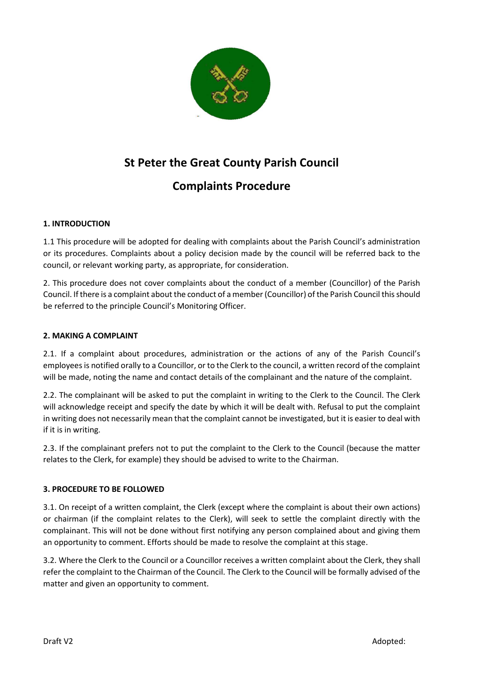

## **St Peter the Great County Parish Council**

# **Complaints Procedure**

### **1. INTRODUCTION**

1.1 This procedure will be adopted for dealing with complaints about the Parish Council's administration or its procedures. Complaints about a policy decision made by the council will be referred back to the council, or relevant working party, as appropriate, for consideration.

2. This procedure does not cover complaints about the conduct of a member (Councillor) of the Parish Council. If there is a complaint about the conduct of a member (Councillor) of the Parish Council this should be referred to the principle Council's Monitoring Officer.

#### **2. MAKING A COMPLAINT**

2.1. If a complaint about procedures, administration or the actions of any of the Parish Council's employees is notified orally to a Councillor, or to the Clerk to the council, a written record of the complaint will be made, noting the name and contact details of the complainant and the nature of the complaint.

2.2. The complainant will be asked to put the complaint in writing to the Clerk to the Council. The Clerk will acknowledge receipt and specify the date by which it will be dealt with. Refusal to put the complaint in writing does not necessarily mean that the complaint cannot be investigated, but it is easier to deal with if it is in writing.

2.3. If the complainant prefers not to put the complaint to the Clerk to the Council (because the matter relates to the Clerk, for example) they should be advised to write to the Chairman.

#### **3. PROCEDURE TO BE FOLLOWED**

3.1. On receipt of a written complaint, the Clerk (except where the complaint is about their own actions) or chairman (if the complaint relates to the Clerk), will seek to settle the complaint directly with the complainant. This will not be done without first notifying any person complained about and giving them an opportunity to comment. Efforts should be made to resolve the complaint at this stage.

3.2. Where the Clerk to the Council or a Councillor receives a written complaint about the Clerk, they shall refer the complaint to the Chairman of the Council. The Clerk to the Council will be formally advised of the matter and given an opportunity to comment.